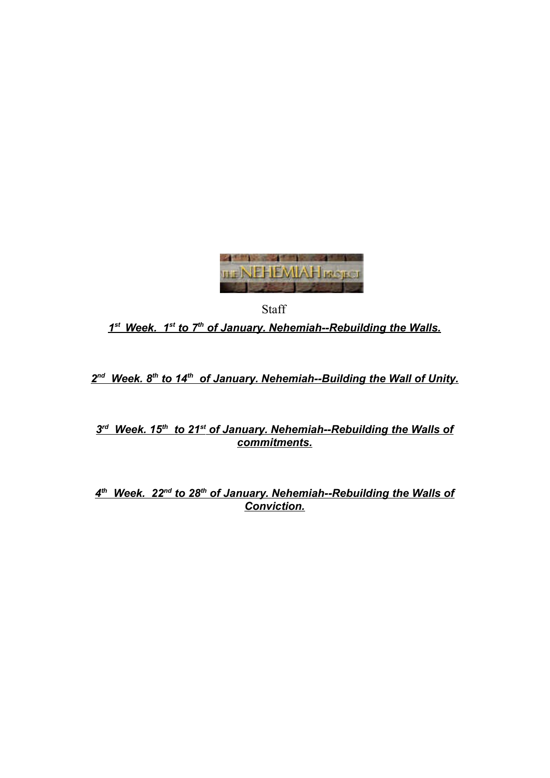

Staff  *1 st Week. 1st to 7th of January. Nehemiah--Rebuilding the Walls.*

2<sup>nd</sup> Week. 8<sup>th</sup> to 14<sup>th</sup> of January. Nehemiah--Building the Wall of Unity.

## *3 rd Week. 15th to 21st of January. Nehemiah--Rebuilding the Walls of commitments.*

 *4 th Week. 22nd to 28th of January. Nehemiah--Rebuilding the Walls of Conviction.*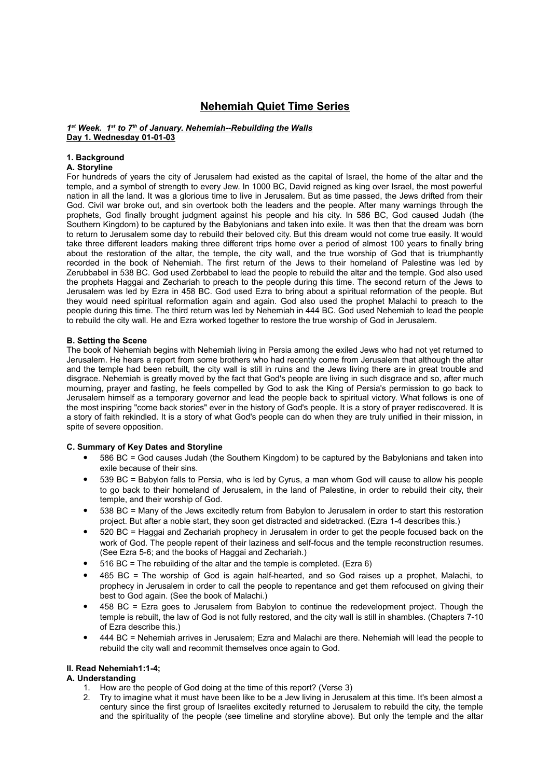## **Nehemiah Quiet Time Series**

## *1 st Week. 1st to 7th of January. Nehemiah--Rebuilding the Walls* **Day 1. Wednesday 01-01-03**

## **1. Background**

## **A. Storyline**

For hundreds of years the city of Jerusalem had existed as the capital of Israel, the home of the altar and the temple, and a symbol of strength to every Jew. In 1000 BC, David reigned as king over Israel, the most powerful nation in all the land. It was a glorious time to live in Jerusalem. But as time passed, the Jews drifted from their God. Civil war broke out, and sin overtook both the leaders and the people. After many warnings through the prophets, God finally brought judgment against his people and his city. In 586 BC, God caused Judah (the Southern Kingdom) to be captured by the Babylonians and taken into exile. It was then that the dream was born to return to Jerusalem some day to rebuild their beloved city. But this dream would not come true easily. It would take three different leaders making three different trips home over a period of almost 100 years to finally bring about the restoration of the altar, the temple, the city wall, and the true worship of God that is triumphantly recorded in the book of Nehemiah. The first return of the Jews to their homeland of Palestine was led by Zerubbabel in 538 BC. God used Zerbbabel to lead the people to rebuild the altar and the temple. God also used the prophets Haggai and Zechariah to preach to the people during this time. The second return of the Jews to Jerusalem was led by Ezra in 458 BC. God used Ezra to bring about a spiritual reformation of the people. But they would need spiritual reformation again and again. God also used the prophet Malachi to preach to the people during this time. The third return was led by Nehemiah in 444 BC. God used Nehemiah to lead the people to rebuild the city wall. He and Ezra worked together to restore the true worship of God in Jerusalem.

## **B. Setting the Scene**

The book of Nehemiah begins with Nehemiah living in Persia among the exiled Jews who had not yet returned to Jerusalem. He hears a report from some brothers who had recently come from Jerusalem that although the altar and the temple had been rebuilt, the city wall is still in ruins and the Jews living there are in great trouble and disgrace. Nehemiah is greatly moved by the fact that God's people are living in such disgrace and so, after much mourning, prayer and fasting, he feels compelled by God to ask the King of Persia's permission to go back to Jerusalem himself as a temporary governor and lead the people back to spiritual victory. What follows is one of the most inspiring "come back stories" ever in the history of God's people. It is a story of prayer rediscovered. It is a story of faith rekindled. It is a story of what God's people can do when they are truly unified in their mission, in spite of severe opposition.

## **C. Summary of Key Dates and Storyline**

- 586 BC = God causes Judah (the Southern Kingdom) to be captured by the Babylonians and taken into exile because of their sins.
- 539 BC = Babylon falls to Persia, who is led by Cyrus, a man whom God will cause to allow his people to go back to their homeland of Jerusalem, in the land of Palestine, in order to rebuild their city, their temple, and their worship of God.
- 538 BC = Many of the Jews excitedly return from Babylon to Jerusalem in order to start this restoration project. But after a noble start, they soon get distracted and sidetracked. (Ezra 1-4 describes this.)
- 520 BC = Haggai and Zechariah prophecy in Jerusalem in order to get the people focused back on the work of God. The people repent of their laziness and self-focus and the temple reconstruction resumes. (See Ezra 5-6; and the books of Haggai and Zechariah.)
- 516 BC = The rebuilding of the altar and the temple is completed. (Ezra 6)
- 465 BC = The worship of God is again half-hearted, and so God raises up a prophet, Malachi, to prophecy in Jerusalem in order to call the people to repentance and get them refocused on giving their best to God again. (See the book of Malachi.)
- 458 BC = Ezra goes to Jerusalem from Babylon to continue the redevelopment project. Though the temple is rebuilt, the law of God is not fully restored, and the city wall is still in shambles. (Chapters 7-10 of Ezra describe this.)
- 444 BC = Nehemiah arrives in Jerusalem; Ezra and Malachi are there. Nehemiah will lead the people to rebuild the city wall and recommit themselves once again to God.

## **II. Read Nehemiah1:1-4;**

## **A. Understanding**

- 1. How are the people of God doing at the time of this report? (Verse 3)
- 2. Try to imagine what it must have been like to be a Jew living in Jerusalem at this time. It's been almost a century since the first group of Israelites excitedly returned to Jerusalem to rebuild the city, the temple and the spirituality of the people (see timeline and storyline above). But only the temple and the altar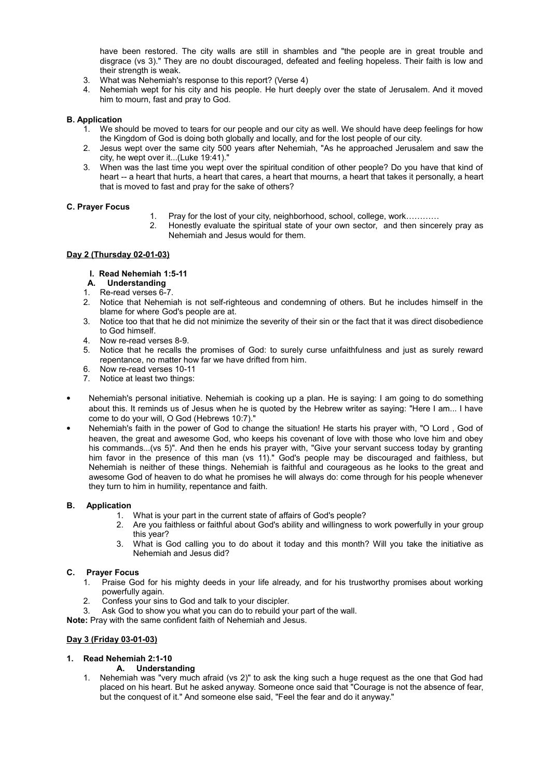have been restored. The city walls are still in shambles and "the people are in great trouble and disgrace (vs 3)." They are no doubt discouraged, defeated and feeling hopeless. Their faith is low and their strength is weak.

- 3. What was Nehemiah's response to this report? (Verse 4)
- 4. Nehemiah wept for his city and his people. He hurt deeply over the state of Jerusalem. And it moved him to mourn, fast and pray to God.

## **B. Application**

- 1. We should be moved to tears for our people and our city as well. We should have deep feelings for how the Kingdom of God is doing both globally and locally, and for the lost people of our city.
- 2. Jesus wept over the same city 500 years after Nehemiah, "As he approached Jerusalem and saw the city, he wept over it...(Luke 19:41)."
- 3. When was the last time you wept over the spiritual condition of other people? Do you have that kind of heart -- a heart that hurts, a heart that cares, a heart that mourns, a heart that takes it personally, a heart that is moved to fast and pray for the sake of others?

## **C. Prayer Focus**

- 1. Pray for the lost of your city, neighborhood, school, college, work…………
- 2. Honestly evaluate the spiritual state of your own sector, and then sincerely pray as Nehemiah and Jesus would for them.

## **Day 2 (Thursday 02-01-03)**

## **I. Read Nehemiah 1:5-11**

- **A. Understanding**
- 1. Re-read verses 6-7.
- 2. Notice that Nehemiah is not self-righteous and condemning of others. But he includes himself in the blame for where God's people are at.
- 3. Notice too that that he did not minimize the severity of their sin or the fact that it was direct disobedience to God himself.
- 4. Now re-read verses 8-9.
- 5. Notice that he recalls the promises of God: to surely curse unfaithfulness and just as surely reward repentance, no matter how far we have drifted from him.
- 6. Now re-read verses 10-11
- 7. Notice at least two things:
- Nehemiah's personal initiative. Nehemiah is cooking up a plan. He is saying: I am going to do something about this. It reminds us of Jesus when he is quoted by the Hebrew writer as saying: "Here I am... I have come to do your will, O God (Hebrews 10:7)."
- Nehemiah's faith in the power of God to change the situation! He starts his prayer with, "O Lord , God of heaven, the great and awesome God, who keeps his covenant of love with those who love him and obey his commands...(vs 5)". And then he ends his prayer with, "Give your servant success today by granting him favor in the presence of this man (vs 11)." God's people may be discouraged and faithless, but Nehemiah is neither of these things. Nehemiah is faithful and courageous as he looks to the great and awesome God of heaven to do what he promises he will always do: come through for his people whenever they turn to him in humility, repentance and faith.

## **B. Application**

- 1. What is your part in the current state of affairs of God's people?
	- 2. Are you faithless or faithful about God's ability and willingness to work powerfully in your group this year?
	- 3. What is God calling you to do about it today and this month? Will you take the initiative as Nehemiah and Jesus did?

## **C. Prayer Focus**

- 1. Praise God for his mighty deeds in your life already, and for his trustworthy promises about working powerfully again.
- 2. Confess your sins to God and talk to your discipler.
- Ask God to show you what you can do to rebuild your part of the wall.

**Note:** Pray with the same confident faith of Nehemiah and Jesus.

## **Day 3 (Friday 03-01-03)**

## **1. Read Nehemiah 2:1-10**

## **A. Understanding**

1. Nehemiah was "very much afraid (vs 2)" to ask the king such a huge request as the one that God had placed on his heart. But he asked anyway. Someone once said that "Courage is not the absence of fear, but the conquest of it." And someone else said, "Feel the fear and do it anyway."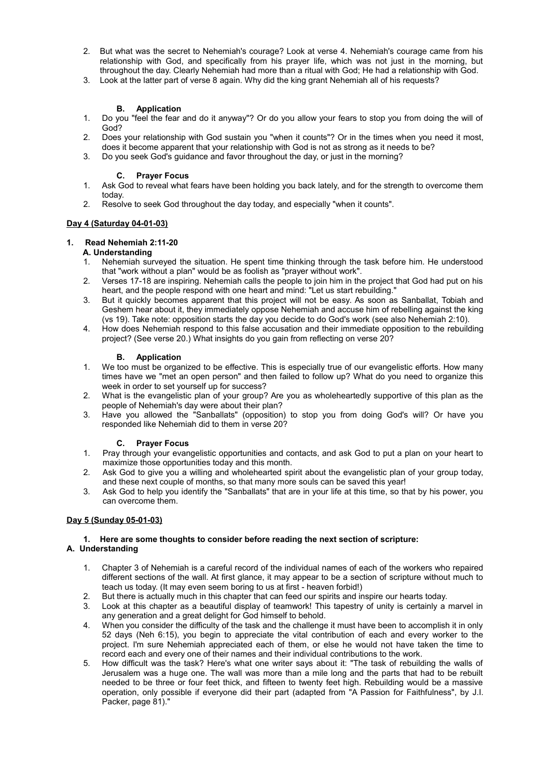- 2. But what was the secret to Nehemiah's courage? Look at verse 4. Nehemiah's courage came from his relationship with God, and specifically from his prayer life, which was not just in the morning, but throughout the day. Clearly Nehemiah had more than a ritual with God; He had a relationship with God.
- 3. Look at the latter part of verse 8 again. Why did the king grant Nehemiah all of his requests?

## **B. Application**

- 1. Do you "feel the fear and do it anyway"? Or do you allow your fears to stop you from doing the will of God?
- 2. Does your relationship with God sustain you "when it counts"? Or in the times when you need it most, does it become apparent that your relationship with God is not as strong as it needs to be?
- 3. Do you seek God's guidance and favor throughout the day, or just in the morning?

## **C. Prayer Focus**

- 1. Ask God to reveal what fears have been holding you back lately, and for the strength to overcome them today.
- 2. Resolve to seek God throughout the day today, and especially "when it counts".

## **Day 4 (Saturday 04-01-03)**

## **1. Read Nehemiah 2:11-20**

## **A. Understanding**

- 1. Nehemiah surveyed the situation. He spent time thinking through the task before him. He understood that "work without a plan" would be as foolish as "prayer without work".
- 2. Verses 17-18 are inspiring. Nehemiah calls the people to join him in the project that God had put on his heart, and the people respond with one heart and mind: "Let us start rebuilding."
- 3. But it quickly becomes apparent that this project will not be easy. As soon as Sanballat, Tobiah and Geshem hear about it, they immediately oppose Nehemiah and accuse him of rebelling against the king (vs 19). Take note: opposition starts the day you decide to do God's work (see also Nehemiah 2:10).
- 4. How does Nehemiah respond to this false accusation and their immediate opposition to the rebuilding project? (See verse 20.) What insights do you gain from reflecting on verse 20?

## **B. Application**

- 1. We too must be organized to be effective. This is especially true of our evangelistic efforts. How many times have we "met an open person" and then failed to follow up? What do you need to organize this week in order to set yourself up for success?
- 2. What is the evangelistic plan of your group? Are you as wholeheartedly supportive of this plan as the people of Nehemiah's day were about their plan?
- 3. Have you allowed the "Sanballats" (opposition) to stop you from doing God's will? Or have you responded like Nehemiah did to them in verse 20?

## **C. Prayer Focus**

- 1. Pray through your evangelistic opportunities and contacts, and ask God to put a plan on your heart to maximize those opportunities today and this month.
- 2. Ask God to give you a willing and wholehearted spirit about the evangelistic plan of your group today, and these next couple of months, so that many more souls can be saved this year!
- 3. Ask God to help you identify the "Sanballats" that are in your life at this time, so that by his power, you can overcome them.

## **Day 5 (Sunday 05-01-03)**

# **1. Here are some thoughts to consider before reading the next section of scripture:**

## **A. Understanding**

- 1. Chapter 3 of Nehemiah is a careful record of the individual names of each of the workers who repaired different sections of the wall. At first glance, it may appear to be a section of scripture without much to teach us today. (It may even seem boring to us at first - heaven forbid!)
- 2. But there is actually much in this chapter that can feed our spirits and inspire our hearts today.
- 3. Look at this chapter as a beautiful display of teamwork! This tapestry of unity is certainly a marvel in any generation and a great delight for God himself to behold.
- 4. When you consider the difficulty of the task and the challenge it must have been to accomplish it in only 52 days (Neh 6:15), you begin to appreciate the vital contribution of each and every worker to the project. I'm sure Nehemiah appreciated each of them, or else he would not have taken the time to record each and every one of their names and their individual contributions to the work.
- 5. How difficult was the task? Here's what one writer says about it: "The task of rebuilding the walls of Jerusalem was a huge one. The wall was more than a mile long and the parts that had to be rebuilt needed to be three or four feet thick, and fifteen to twenty feet high. Rebuilding would be a massive operation, only possible if everyone did their part (adapted from "A Passion for Faithfulness", by J.I. Packer, page 81)."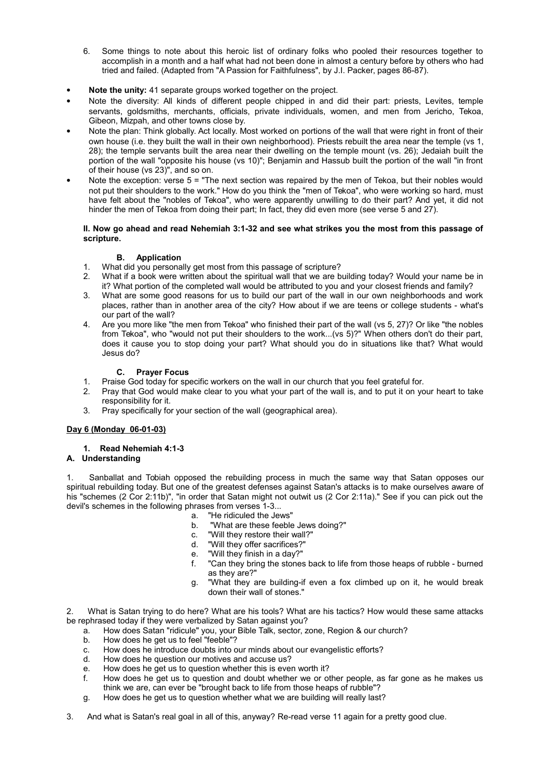- 6. Some things to note about this heroic list of ordinary folks who pooled their resources together to accomplish in a month and a half what had not been done in almost a century before by others who had tried and failed. (Adapted from "A Passion for Faithfulness", by J.I. Packer, pages 86-87).
- **Note the unity:** 41 separate groups worked together on the project.
- Note the diversity: All kinds of different people chipped in and did their part: priests, Levites, temple servants, goldsmiths, merchants, officials, private individuals, women, and men from Jericho, Tekoa, Gibeon, Mizpah, and other towns close by.
- Note the plan: Think globally. Act locally. Most worked on portions of the wall that were right in front of their own house (i.e. they built the wall in their own neighborhood). Priests rebuilt the area near the temple (vs 1, 28); the temple servants built the area near their dwelling on the temple mount (vs. 26); Jedaiah built the portion of the wall "opposite his house (vs 10)"; Benjamin and Hassub built the portion of the wall "in front of their house (vs 23)", and so on.
- Note the exception: verse 5 = "The next section was repaired by the men of Tekoa, but their nobles would not put their shoulders to the work." How do you think the "men of Tekoa", who were working so hard, must have felt about the "nobles of Tekoa", who were apparently unwilling to do their part? And yet, it did not hinder the men of Tekoa from doing their part; In fact, they did even more (see verse 5 and 27).

## **II. Now go ahead and read Nehemiah 3:1-32 and see what strikes you the most from this passage of scripture.**

## **B. Application**

- 1. What did you personally get most from this passage of scripture?
- 2. What if a book were written about the spiritual wall that we are building today? Would your name be in it? What portion of the completed wall would be attributed to you and your closest friends and family?
- 3. What are some good reasons for us to build our part of the wall in our own neighborhoods and work places, rather than in another area of the city? How about if we are teens or college students - what's our part of the wall?
- 4. Are you more like "the men from Tekoa" who finished their part of the wall (vs 5, 27)? Or like "the nobles from Tekoa", who "would not put their shoulders to the work...(vs 5)?" When others don't do their part, does it cause you to stop doing your part? What should you do in situations like that? What would Jesus do?

## **C. Prayer Focus**

- 1. Praise God today for specific workers on the wall in our church that you feel grateful for.
- 2. Pray that God would make clear to you what your part of the wall is, and to put it on your heart to take responsibility for it.
- 3. Pray specifically for your section of the wall (geographical area).

## **Day 6 (Monday 06-01-03)**

## **1. Read Nehemiah 4:1-3**

## **A. Understanding**

Sanballat and Tobiah opposed the rebuilding process in much the same way that Satan opposes our spiritual rebuilding today. But one of the greatest defenses against Satan's attacks is to make ourselves aware of his "schemes (2 Cor 2:11b)", "in order that Satan might not outwit us (2 Cor 2:11a)." See if you can pick out the devil's schemes in the following phrases from verses 1-3...

- a. "He ridiculed the Jews"
- b. "What are these feeble Jews doing?"
- c. "Will they restore their wall?"
- d. "Will they offer sacrifices?"
- e. "Will they finish in a day?"
- f. "Can they bring the stones back to life from those heaps of rubble burned as they are?"
- g. "What they are building-if even a fox climbed up on it, he would break down their wall of stones."

2. What is Satan trying to do here? What are his tools? What are his tactics? How would these same attacks be rephrased today if they were verbalized by Satan against you?

- a. How does Satan "ridicule" you, your Bible Talk, sector, zone, Region & our church?
- b. How does he get us to feel "feeble"?
- c. How does he introduce doubts into our minds about our evangelistic efforts?
- d. How does he question our motives and accuse us?
- e. How does he get us to question whether this is even worth it?
- f. How does he get us to question and doubt whether we or other people, as far gone as he makes us think we are, can ever be "brought back to life from those heaps of rubble"?
- g. How does he get us to question whether what we are building will really last?
- 3. And what is Satan's real goal in all of this, anyway? Re-read verse 11 again for a pretty good clue.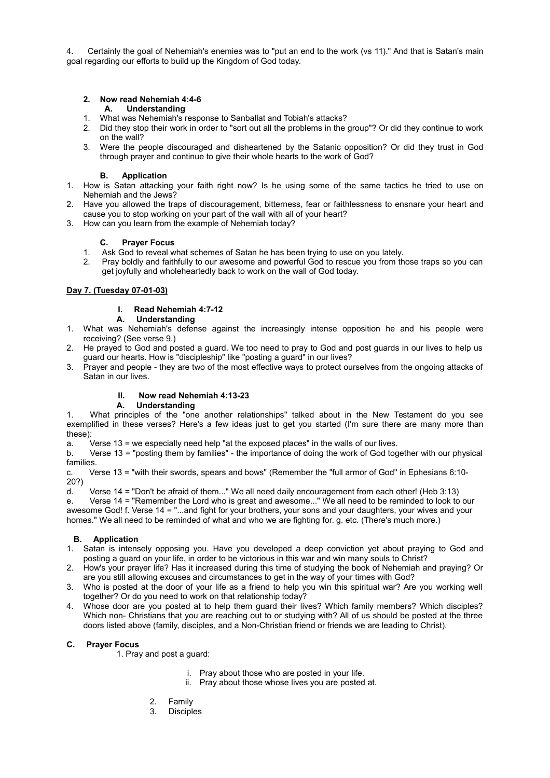4. Certainly the goal of Nehemiah's enemies was to "put an end to the work (vs 11)." And that is Satan's main goal regarding our efforts to build up the Kingdom of God today.

## **2. Now read Nehemiah 4:4-6**

## **A. Understanding**

- 1. What was Nehemiah's response to Sanballat and Tobiah's attacks?
- 2. Did they stop their work in order to "sort out all the problems in the group"? Or did they continue to work on the wall?
- 3. Were the people discouraged and disheartened by the Satanic opposition? Or did they trust in God through prayer and continue to give their whole hearts to the work of God?

## **B. Application**

- 1. How is Satan attacking your faith right now? Is he using some of the same tactics he tried to use on Nehemiah and the Jews?
- 2. Have you allowed the traps of discouragement, bitterness, fear or faithlessness to ensnare your heart and cause you to stop working on your part of the wall with all of your heart?
- 3. How can you learn from the example of Nehemiah today?

## **C. Prayer Focus**

- 1. Ask God to reveal what schemes of Satan he has been trying to use on you lately.
- 2. Pray boldly and faithfully to our awesome and powerful God to rescue you from those traps so you can get joyfully and wholeheartedly back to work on the wall of God today.

## **Day 7. (Tuesday 07-01-03)**

## **I. Read Nehemiah 4:7-12**

## **A. Understanding**

- 1. What was Nehemiah's defense against the increasingly intense opposition he and his people were receiving? (See verse 9.)
- 2. He prayed to God and posted a guard. We too need to pray to God and post guards in our lives to help us guard our hearts. How is "discipleship" like "posting a guard" in our lives?
- 3. Prayer and people they are two of the most effective ways to protect ourselves from the ongoing attacks of Satan in our lives.

## **II. Now read Nehemiah 4:13-23**

## **A. Understanding**

1. What principles of the "one another relationships" talked about in the New Testament do you see exemplified in these verses? Here's a few ideas just to get you started (I'm sure there are many more than these):

a. Verse 13 = we especially need help "at the exposed places" in the walls of our lives.

b. Verse 13 = "posting them by families" - the importance of doing the work of God together with our physical families.

c. Verse 13 = "with their swords, spears and bows" (Remember the "full armor of God" in Ephesians 6:10- 20?)

d. Verse 14 = "Don't be afraid of them..." We all need daily encouragement from each other! (Heb 3:13)

e. Verse 14 = "Remember the Lord who is great and awesome..." We all need to be reminded to look to our awesome God! f. Verse 14 = "...and fight for your brothers, your sons and your daughters, your wives and your homes." We all need to be reminded of what and who we are fighting for. g. etc. (There's much more.)

## **B. Application**

- 1. Satan is intensely opposing you. Have you developed a deep conviction yet about praying to God and posting a guard on your life, in order to be victorious in this war and win many souls to Christ?
- 2. How's your prayer life? Has it increased during this time of studying the book of Nehemiah and praying? Or are you still allowing excuses and circumstances to get in the way of your times with God?
- 3. Who is posted at the door of your life as a friend to help you win this spiritual war? Are you working well together? Or do you need to work on that relationship today?
- 4. Whose door are you posted at to help them guard their lives? Which family members? Which disciples? Which non- Christians that you are reaching out to or studying with? All of us should be posted at the three doors listed above (family, disciples, and a Non-Christian friend or friends we are leading to Christ).

## **C. Prayer Focus**

1. Pray and post a guard:

- i. Pray about those who are posted in your life.
- ii. Pray about those whose lives you are posted at.
- 2. Family
- 3. Disciples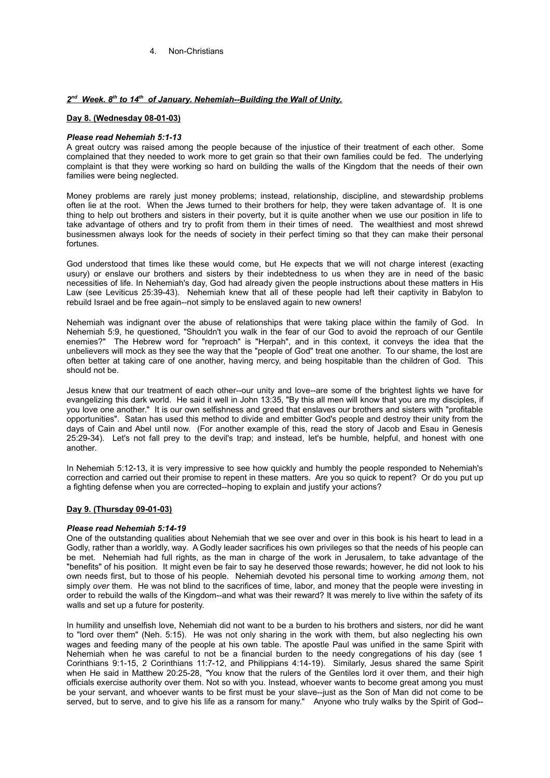#### 4. Non-Christians

## 2<sup>nd</sup> Week. 8<sup>th</sup> to 14<sup>th</sup> of January. Nehemiah--Building the Wall of Unity.

## **Day 8. (Wednesday 08-01-03)**

## *Please read Nehemiah 5:1-13*

A great outcry was raised among the people because of the injustice of their treatment of each other. Some complained that they needed to work more to get grain so that their own families could be fed. The underlying complaint is that they were working so hard on building the walls of the Kingdom that the needs of their own families were being neglected.

Money problems are rarely just money problems; instead, relationship, discipline, and stewardship problems often lie at the root. When the Jews turned to their brothers for help, they were taken advantage of. It is one thing to help out brothers and sisters in their poverty, but it is quite another when we use our position in life to take advantage of others and try to profit from them in their times of need. The wealthiest and most shrewd businessmen always look for the needs of society in their perfect timing so that they can make their personal fortunes.

God understood that times like these would come, but He expects that we will not charge interest (exacting usury) or enslave our brothers and sisters by their indebtedness to us when they are in need of the basic necessities of life. In Nehemiah's day, God had already given the people instructions about these matters in His Law (see Leviticus 25:39-43). Nehemiah knew that all of these people had left their captivity in Babylon to rebuild Israel and be free again--not simply to be enslaved again to new owners!

Nehemiah was indignant over the abuse of relationships that were taking place within the family of God. In Nehemiah 5:9, he questioned, "Shouldn't you walk in the fear of our God to avoid the reproach of our Gentile enemies?" The Hebrew word for "reproach" is "Herpah", and in this context, it conveys the idea that the unbelievers will mock as they see the way that the "people of God" treat one another. To our shame, the lost are often better at taking care of one another, having mercy, and being hospitable than the children of God. This should not be.

Jesus knew that our treatment of each other--our unity and love--are some of the brightest lights we have for evangelizing this dark world. He said it well in John 13:35, "By this all men will know that you are my disciples, if you love one another." It is our own selfishness and greed that enslaves our brothers and sisters with "profitable opportunities". Satan has used this method to divide and embitter God's people and destroy their unity from the days of Cain and Abel until now. (For another example of this, read the story of Jacob and Esau in Genesis 25:29-34). Let's not fall prey to the devil's trap; and instead, let's be humble, helpful, and honest with one another.

In Nehemiah 5:12-13, it is very impressive to see how quickly and humbly the people responded to Nehemiah's correction and carried out their promise to repent in these matters. Are you so quick to repent? Or do you put up a fighting defense when you are corrected--hoping to explain and justify your actions?

## **Day 9. (Thursday 09-01-03)**

## *Please read Nehemiah 5:14-19*

One of the outstanding qualities about Nehemiah that we see over and over in this book is his heart to lead in a Godly, rather than a worldly, way. A Godly leader sacrifices his own privileges so that the needs of his people can be met. Nehemiah had full rights, as the man in charge of the work in Jerusalem, to take advantage of the "benefits" of his position. It might even be fair to say he deserved those rewards; however, he did not look to his own needs first, but to those of his people. Nehemiah devoted his personal time to working *among* them, not simply *over* them. He was not blind to the sacrifices of time, labor, and money that the people were investing in order to rebuild the walls of the Kingdom--and what was their reward? It was merely to live within the safety of its walls and set up a future for posterity.

In humility and unselfish love, Nehemiah did not want to be a burden to his brothers and sisters, nor did he want to "lord over them" (Neh. 5:15). He was not only sharing in the work with them, but also neglecting his own wages and feeding many of the people at his own table. The apostle Paul was unified in the same Spirit with Nehemiah when he was careful to not be a financial burden to the needy congregations of his day (see 1 Corinthians 9:1-15, 2 Corinthians 11:7-12, and Philippians 4:14-19). Similarly, Jesus shared the same Spirit when He said in Matthew 20:25-28, *"*You know that the rulers of the Gentiles lord it over them, and their high officials exercise authority over them. Not so with you. Instead, whoever wants to become great among you must be your servant, and whoever wants to be first must be your slave--just as the Son of Man did not come to be served, but to serve, and to give his life as a ransom for many." Anyone who truly walks by the Spirit of God--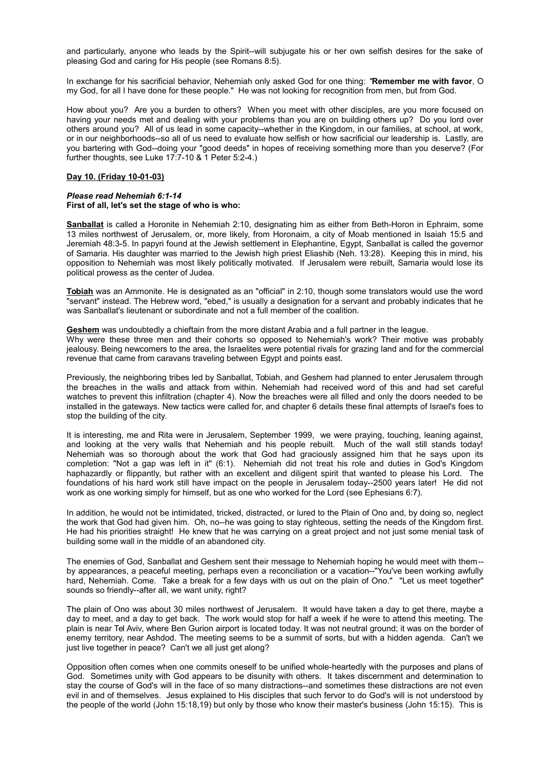and particularly, anyone who leads by the Spirit--will subjugate his or her own selfish desires for the sake of pleasing God and caring for His people (see Romans 8:5).

In exchange for his sacrificial behavior, Nehemiah only asked God for one thing: *"***Remember me with favor**, O my God, for all I have done for these people." He was not looking for recognition from men, but from God.

How about you? Are you a burden to others? When you meet with other disciples, are you more focused on having your needs met and dealing with your problems than you are on building others up? Do you lord over others around you? All of us lead in some capacity--whether in the Kingdom, in our families, at school, at work, or in our neighborhoods--so all of us need to evaluate how selfish or how sacrificial our leadership is. Lastly, are you bartering with God--doing your "good deeds" in hopes of receiving something more than you deserve? (For further thoughts, see Luke 17:7-10 & 1 Peter 5:2-4.)

## **Day 10. (Friday 10-01-03)**

#### *Please read Nehemiah 6:1-14* **First of all, let's set the stage of who is who:**

**Sanballat** is called a Horonite in Nehemiah 2:10, designating him as either from Beth-Horon in Ephraim, some 13 miles northwest of Jerusalem, or, more likely, from Horonaim, a city of Moab mentioned in Isaiah 15:5 and Jeremiah 48:3-5. In papyri found at the Jewish settlement in Elephantine, Egypt, Sanballat is called the governor of Samaria. His daughter was married to the Jewish high priest Eliashib (Neh. 13:28). Keeping this in mind, his opposition to Nehemiah was most likely politically motivated. If Jerusalem were rebuilt, Samaria would lose its political prowess as the center of Judea.

**Tobiah** was an Ammonite. He is designated as an "official" in 2:10, though some translators would use the word "servant" instead. The Hebrew word, "ebed," is usually a designation for a servant and probably indicates that he was Sanballat's lieutenant or subordinate and not a full member of the coalition.

Geshem was undoubtedly a chieftain from the more distant Arabia and a full partner in the league.

Why were these three men and their cohorts so opposed to Nehemiah's work? Their motive was probably jealousy. Being newcomers to the area, the Israelites were potential rivals for grazing land and for the commercial revenue that came from caravans traveling between Egypt and points east.

Previously, the neighboring tribes led by Sanballat, Tobiah, and Geshem had planned to enter Jerusalem through the breaches in the walls and attack from within. Nehemiah had received word of this and had set careful watches to prevent this infiltration (chapter 4). Now the breaches were all filled and only the doors needed to be installed in the gateways. New tactics were called for, and chapter 6 details these final attempts of Israel's foes to stop the building of the city.

It is interesting, me and Rita were in Jerusalem, September 1999, we were praying, touching, leaning against, and looking at the very walls that Nehemiah and his people rebuilt. Much of the wall still stands today! Nehemiah was so thorough about the work that God had graciously assigned him that he says upon its completion: "Not a gap was left in it" (6:1). Nehemiah did not treat his role and duties in God's Kingdom haphazardly or flippantly, but rather with an excellent and diligent spirit that wanted to please his Lord. The foundations of his hard work still have impact on the people in Jerusalem today--2500 years later! He did not work as one working simply for himself, but as one who worked for the Lord (see Ephesians 6:7).

In addition, he would not be intimidated, tricked, distracted, or lured to the Plain of Ono and, by doing so, neglect the work that God had given him. Oh, no--he was going to stay righteous, setting the needs of the Kingdom first. He had his priorities straight! He knew that he was carrying on a great project and not just some menial task of building some wall in the middle of an abandoned city.

The enemies of God, Sanballat and Geshem sent their message to Nehemiah hoping he would meet with them- by appearances, a peaceful meeting, perhaps even a reconciliation or a vacation--"You've been working awfully hard, Nehemiah. Come. Take a break for a few days with us out on the plain of Ono." "Let us meet together" sounds so friendly--after all, we want unity, right?

The plain of Ono was about 30 miles northwest of Jerusalem. It would have taken a day to get there, maybe a day to meet, and a day to get back. The work would stop for half a week if he were to attend this meeting. The plain is near Tel Aviv, where Ben Gurion airport is located today. It was not neutral ground; it was on the border of enemy territory, near Ashdod. The meeting seems to be a summit of sorts, but with a hidden agenda. Can't we just live together in peace? Can't we all just get along?

Opposition often comes when one commits oneself to be unified whole-heartedly with the purposes and plans of God. Sometimes unity with God appears to be disunity with others. It takes discernment and determination to stay the course of God's will in the face of so many distractions--and sometimes these distractions are not even evil in and of themselves. Jesus explained to His disciples that such fervor to do God's will is not understood by the people of the world (John 15:18,19) but only by those who know their master's business (John 15:15). This is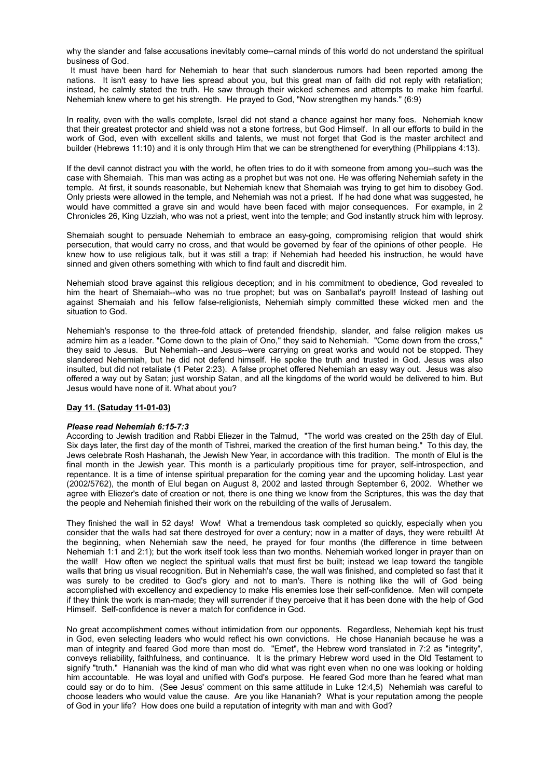why the slander and false accusations inevitably come--carnal minds of this world do not understand the spiritual business of God.

It must have been hard for Nehemiah to hear that such slanderous rumors had been reported among the nations. It isn't easy to have lies spread about you, but this great man of faith did not reply with retaliation; instead, he calmly stated the truth. He saw through their wicked schemes and attempts to make him fearful. Nehemiah knew where to get his strength. He prayed to God, "Now strengthen my hands." (6:9)

In reality, even with the walls complete, Israel did not stand a chance against her many foes. Nehemiah knew that their greatest protector and shield was not a stone fortress, but God Himself. In all our efforts to build in the work of God, even with excellent skills and talents, we must not forget that God is the master architect and builder (Hebrews 11:10) and it is only through Him that we can be strengthened for everything (Philippians 4:13).

If the devil cannot distract you with the world, he often tries to do it with someone from among you--such was the case with Shemaiah. This man was acting as a prophet but was not one. He was offering Nehemiah safety in the temple. At first, it sounds reasonable, but Nehemiah knew that Shemaiah was trying to get him to disobey God. Only priests were allowed in the temple, and Nehemiah was not a priest. If he had done what was suggested, he would have committed a grave sin and would have been faced with major consequences. For example, in 2 Chronicles 26, King Uzziah, who was not a priest, went into the temple; and God instantly struck him with leprosy.

Shemaiah sought to persuade Nehemiah to embrace an easy-going, compromising religion that would shirk persecution, that would carry no cross, and that would be governed by fear of the opinions of other people. He knew how to use religious talk, but it was still a trap; if Nehemiah had heeded his instruction, he would have sinned and given others something with which to find fault and discredit him.

Nehemiah stood brave against this religious deception; and in his commitment to obedience, God revealed to him the heart of Shemaiah--who was no true prophet; but was on Sanballat's payroll! Instead of lashing out against Shemaiah and his fellow false-religionists, Nehemiah simply committed these wicked men and the situation to God.

Nehemiah's response to the three-fold attack of pretended friendship, slander, and false religion makes us admire him as a leader. "Come down to the plain of Ono," they said to Nehemiah. "Come down from the cross," they said to Jesus. But Nehemiah--and Jesus--were carrying on great works and would not be stopped. They slandered Nehemiah, but he did not defend himself. He spoke the truth and trusted in God. Jesus was also insulted, but did not retaliate (1 Peter 2:23). A false prophet offered Nehemiah an easy way out. Jesus was also offered a way out by Satan; just worship Satan, and all the kingdoms of the world would be delivered to him. But Jesus would have none of it. What about you?

## **Day 11. (Satuday 11-01-03)**

## *Please read Nehemiah 6:15-7:3*

According to Jewish tradition and Rabbi Eliezer in the Talmud, "The world was created on the 25th day of Elul. Six days later, the first day of the month of Tishrei, marked the creation of the first human being." To this day, the Jews celebrate Rosh Hashanah, the Jewish New Year, in accordance with this tradition. The month of Elul is the final month in the Jewish year. This month is a particularly propitious time for prayer, self-introspection, and repentance. It is a time of intense spiritual preparation for the coming year and the upcoming holiday. Last year (2002/5762), the month of Elul began on August 8, 2002 and lasted through September 6, 2002. Whether we agree with Eliezer's date of creation or not, there is one thing we know from the Scriptures, this was the day that the people and Nehemiah finished their work on the rebuilding of the walls of Jerusalem.

They finished the wall in 52 days! Wow! What a tremendous task completed so quickly, especially when you consider that the walls had sat there destroyed for over a century; now in a matter of days, they were rebuilt! At the beginning, when Nehemiah saw the need, he prayed for four months (the difference in time between Nehemiah 1:1 and 2:1); but the work itself took less than two months. Nehemiah worked longer in prayer than on the wall! How often we neglect the spiritual walls that must first be built; instead we leap toward the tangible walls that bring us visual recognition. But in Nehemiah's case, the wall was finished, and completed so fast that it was surely to be credited to God's glory and not to man's. There is nothing like the will of God being accomplished with excellency and expediency to make His enemies lose their self-confidence. Men will compete if they think the work is man-made; they will surrender if they perceive that it has been done with the help of God Himself. Self-confidence is never a match for confidence in God.

No great accomplishment comes without intimidation from our opponents. Regardless, Nehemiah kept his trust in God, even selecting leaders who would reflect his own convictions. He chose Hananiah because he was a man of integrity and feared God more than most do. "Emet", the Hebrew word translated in 7:2 as "integrity", conveys reliability, faithfulness, and continuance. It is the primary Hebrew word used in the Old Testament to signify "truth." Hananiah was the kind of man who did what was right even when no one was looking or holding him accountable. He was loyal and unified with God's purpose. He feared God more than he feared what man could say or do to him. (See Jesus' comment on this same attitude in Luke 12:4,5) Nehemiah was careful to choose leaders who would value the cause. Are you like Hananiah? What is your reputation among the people of God in your life? How does one build a reputation of integrity with man and with God?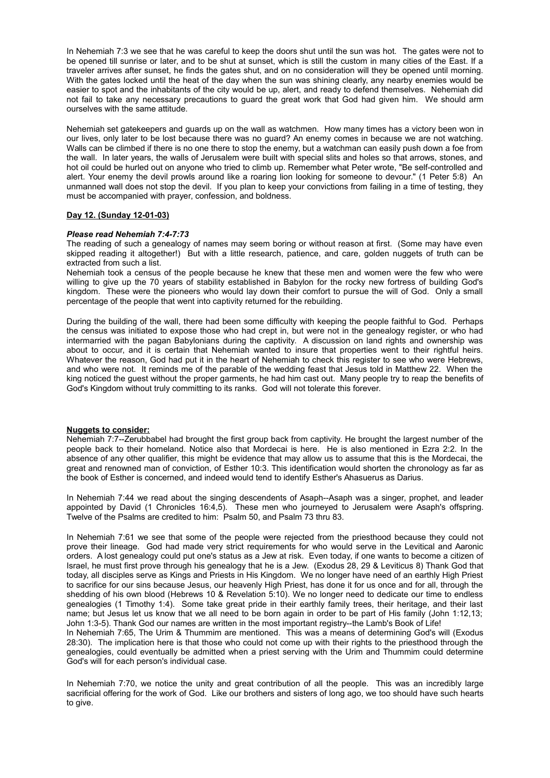In Nehemiah 7:3 we see that he was careful to keep the doors shut until the sun was hot. The gates were not to be opened till sunrise or later, and to be shut at sunset, which is still the custom in many cities of the East. If a traveler arrives after sunset, he finds the gates shut, and on no consideration will they be opened until morning. With the gates locked until the heat of the day when the sun was shining clearly, any nearby enemies would be easier to spot and the inhabitants of the city would be up, alert, and ready to defend themselves. Nehemiah did not fail to take any necessary precautions to guard the great work that God had given him. We should arm ourselves with the same attitude.

Nehemiah set gatekeepers and guards up on the wall as watchmen. How many times has a victory been won in our lives, only later to be lost because there was no guard? An enemy comes in because we are not watching. Walls can be climbed if there is no one there to stop the enemy, but a watchman can easily push down a foe from the wall. In later years, the walls of Jerusalem were built with special slits and holes so that arrows, stones, and hot oil could be hurled out on anyone who tried to climb up. Remember what Peter wrote, "Be self-controlled and alert. Your enemy the devil prowls around like a roaring lion looking for someone to devour." (1 Peter 5:8) An unmanned wall does not stop the devil. If you plan to keep your convictions from failing in a time of testing, they must be accompanied with prayer, confession, and boldness.

## **Day 12. (Sunday 12-01-03)**

## *Please read Nehemiah 7:4-7:73*

The reading of such a genealogy of names may seem boring or without reason at first. (Some may have even skipped reading it altogether!) But with a little research, patience, and care, golden nuggets of truth can be extracted from such a list.

Nehemiah took a census of the people because he knew that these men and women were the few who were willing to give up the 70 years of stability established in Babylon for the rocky new fortress of building God's kingdom. These were the pioneers who would lay down their comfort to pursue the will of God. Only a small percentage of the people that went into captivity returned for the rebuilding.

During the building of the wall, there had been some difficulty with keeping the people faithful to God. Perhaps the census was initiated to expose those who had crept in, but were not in the genealogy register, or who had intermarried with the pagan Babylonians during the captivity. A discussion on land rights and ownership was about to occur, and it is certain that Nehemiah wanted to insure that properties went to their rightful heirs. Whatever the reason, God had put it in the heart of Nehemiah to check this register to see who were Hebrews, and who were not. It reminds me of the parable of the wedding feast that Jesus told in Matthew 22. When the king noticed the guest without the proper garments, he had him cast out. Many people try to reap the benefits of God's Kingdom without truly committing to its ranks. God will not tolerate this forever.

## **Nuggets to consider:**

Nehemiah 7:7--Zerubbabel had brought the first group back from captivity. He brought the largest number of the people back to their homeland. Notice also that Mordecai is here. He is also mentioned in Ezra 2:2. In the absence of any other qualifier, this might be evidence that may allow us to assume that this is the Mordecai, the great and renowned man of conviction, of Esther 10:3. This identification would shorten the chronology as far as the book of Esther is concerned, and indeed would tend to identify Esther's Ahasuerus as Darius.

In Nehemiah 7:44 we read about the singing descendents of Asaph--Asaph was a singer, prophet, and leader appointed by David (1 Chronicles 16:4,5). These men who journeyed to Jerusalem were Asaph's offspring. Twelve of the Psalms are credited to him: Psalm 50, and Psalm 73 thru 83.

In Nehemiah 7:61 we see that some of the people were rejected from the priesthood because they could not prove their lineage. God had made very strict requirements for who would serve in the Levitical and Aaronic orders. A lost genealogy could put one's status as a Jew at risk. Even today, if one wants to become a citizen of Israel, he must first prove through his genealogy that he is a Jew. (Exodus 28, 29 & Leviticus 8) Thank God that today, all disciples serve as Kings and Priests in His Kingdom. We no longer have need of an earthly High Priest to sacrifice for our sins because Jesus, our heavenly High Priest, has done it for us once and for all, through the shedding of his own blood (Hebrews 10 & Revelation 5:10). We no longer need to dedicate our time to endless genealogies (1 Timothy 1:4). Some take great pride in their earthly family trees, their heritage, and their last name; but Jesus let us know that we all need to be born again in order to be part of His family (John 1:12,13; John 1:3-5). Thank God our names are written in the most important registry--the Lamb's Book of Life!

In Nehemiah 7:65, The Urim & Thummim are mentioned. This was a means of determining God's will (Exodus 28:30). The implication here is that those who could not come up with their rights to the priesthood through the genealogies, could eventually be admitted when a priest serving with the Urim and Thummim could determine God's will for each person's individual case.

In Nehemiah 7:70, we notice the unity and great contribution of all the people. This was an incredibly large sacrificial offering for the work of God. Like our brothers and sisters of long ago, we too should have such hearts to give.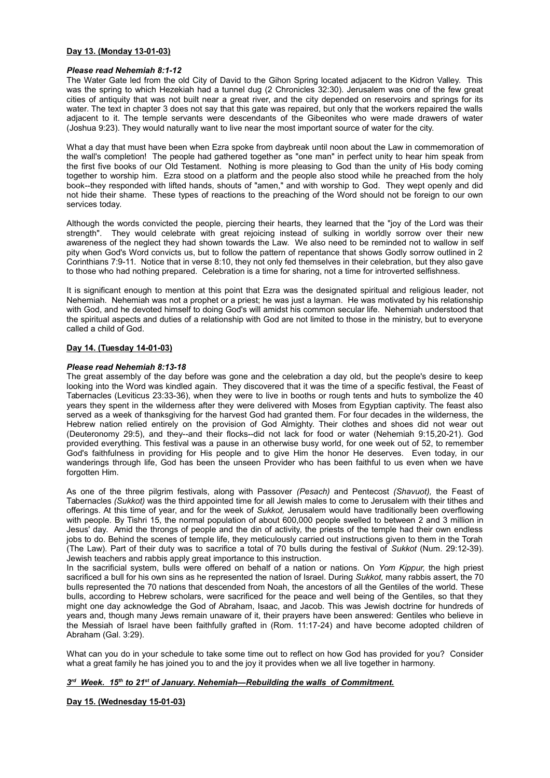### **Day 13. (Monday 13-01-03)**

#### *Please read Nehemiah 8:1-12*

The Water Gate led from the old City of David to the Gihon Spring located adjacent to the Kidron Valley. This was the spring to which Hezekiah had a tunnel dug (2 Chronicles 32:30). Jerusalem was one of the few great cities of antiquity that was not built near a great river, and the city depended on reservoirs and springs for its water. The text in chapter 3 does not say that this gate was repaired, but only that the workers repaired the walls adjacent to it. The temple servants were descendants of the Gibeonites who were made drawers of water (Joshua 9:23). They would naturally want to live near the most important source of water for the city.

What a day that must have been when Ezra spoke from daybreak until noon about the Law in commemoration of the wall's completion! The people had gathered together as "one man" in perfect unity to hear him speak from the first five books of our Old Testament. Nothing is more pleasing to God than the unity of His body coming together to worship him. Ezra stood on a platform and the people also stood while he preached from the holy book--they responded with lifted hands, shouts of "amen," and with worship to God. They wept openly and did not hide their shame. These types of reactions to the preaching of the Word should not be foreign to our own services today.

Although the words convicted the people, piercing their hearts, they learned that the "joy of the Lord was their strength". They would celebrate with great rejoicing instead of sulking in worldly sorrow over their new awareness of the neglect they had shown towards the Law. We also need to be reminded not to wallow in self pity when God's Word convicts us, but to follow the pattern of repentance that shows Godly sorrow outlined in 2 Corinthians 7:9-11. Notice that in verse 8:10, they not only fed themselves in their celebration, but they also gave to those who had nothing prepared. Celebration is a time for sharing, not a time for introverted selfishness.

It is significant enough to mention at this point that Ezra was the designated spiritual and religious leader, not Nehemiah. Nehemiah was not a prophet or a priest; he was just a layman. He was motivated by his relationship with God, and he devoted himself to doing God's will amidst his common secular life. Nehemiah understood that the spiritual aspects and duties of a relationship with God are not limited to those in the ministry, but to everyone called a child of God.

## **Day 14. (Tuesday 14-01-03)**

#### *Please read Nehemiah 8:13-18*

The great assembly of the day before was gone and the celebration a day old, but the people's desire to keep looking into the Word was kindled again. They discovered that it was the time of a specific festival, the Feast of Tabernacles (Leviticus 23:33-36), when they were to live in booths or rough tents and huts to symbolize the 40 years they spent in the wilderness after they were delivered with Moses from Egyptian captivity. The feast also served as a week of thanksgiving for the harvest God had granted them. For four decades in the wilderness, the Hebrew nation relied entirely on the provision of God Almighty. Their clothes and shoes did not wear out (Deuteronomy 29:5), and they--and their flocks--did not lack for food or water (Nehemiah 9:15,20-21). God provided everything. This festival was a pause in an otherwise busy world, for one week out of 52, to remember God's faithfulness in providing for His people and to give Him the honor He deserves. Even today, in our wanderings through life, God has been the unseen Provider who has been faithful to us even when we have forgotten Him.

As one of the three pilgrim festivals, along with Passover *(Pesach)* and Pentecost *(Shavuot),* the Feast of Tabernacles *(Sukkot)* was the third appointed time for all Jewish males to come to Jerusalem with their tithes and offerings. At this time of year, and for the week of *Sukkot,* Jerusalem would have traditionally been overflowing with people. By Tishri 15, the normal population of about 600,000 people swelled to between 2 and 3 million in Jesus' day. Amid the throngs of people and the din of activity, the priests of the temple had their own endless jobs to do. Behind the scenes of temple life, they meticulously carried out instructions given to them in the Torah (The Law). Part of their duty was to sacrifice a total of 70 bulls during the festival of *Sukkot* (Num. 29:12-39). Jewish teachers and rabbis apply great importance to this instruction.

In the sacrificial system, bulls were offered on behalf of a nation or nations. On *Yom Kippur,* the high priest sacrificed a bull for his own sins as he represented the nation of Israel. During *Sukkot,* many rabbis assert, the 70 bulls represented the 70 nations that descended from Noah, the ancestors of all the Gentiles of the world. These bulls, according to Hebrew scholars, were sacrificed for the peace and well being of the Gentiles, so that they might one day acknowledge the God of Abraham, Isaac, and Jacob. This was Jewish doctrine for hundreds of years and, though many Jews remain unaware of it, their prayers have been answered: Gentiles who believe in the Messiah of Israel have been faithfully grafted in (Rom. 11:17-24) and have become adopted children of Abraham (Gal. 3:29).

What can you do in your schedule to take some time out to reflect on how God has provided for you? Consider what a great family he has joined you to and the joy it provides when we all live together in harmony.

## *3 rd Week. 15th to 21st of January. Nehemiah—Rebuilding the walls of Commitment.*

**Day 15. (Wednesday 15-01-03)**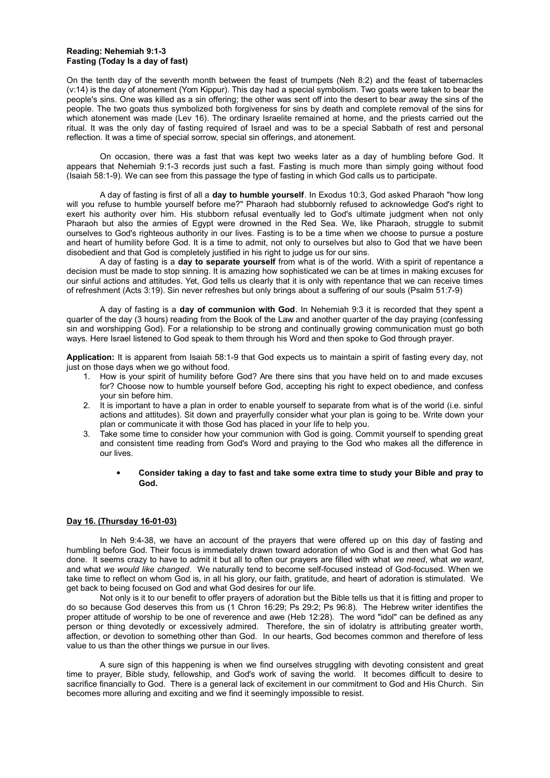#### **Reading: Nehemiah 9:1-3 Fasting (Today Is a day of fast)**

On the tenth day of the seventh month between the feast of trumpets (Neh 8:2) and the feast of tabernacles (v:14) is the day of atonement (Yom Kippur). This day had a special symbolism. Two goats were taken to bear the people's sins. One was killed as a sin offering; the other was sent off into the desert to bear away the sins of the people. The two goats thus symbolized both forgiveness for sins by death and complete removal of the sins for which atonement was made (Lev 16). The ordinary Israelite remained at home, and the priests carried out the ritual. It was the only day of fasting required of Israel and was to be a special Sabbath of rest and personal reflection. It was a time of special sorrow, special sin offerings, and atonement.

On occasion, there was a fast that was kept two weeks later as a day of humbling before God. It appears that Nehemiah 9:1-3 records just such a fast. Fasting is much more than simply going without food (Isaiah 58:1-9). We can see from this passage the type of fasting in which God calls us to participate.

A day of fasting is first of all a **day to humble yourself**. In Exodus 10:3, God asked Pharaoh "how long will you refuse to humble yourself before me?" Pharaoh had stubbornly refused to acknowledge God's right to exert his authority over him. His stubborn refusal eventually led to God's ultimate judgment when not only Pharaoh but also the armies of Egypt were drowned in the Red Sea. We, like Pharaoh, struggle to submit ourselves to God's righteous authority in our lives. Fasting is to be a time when we choose to pursue a posture and heart of humility before God. It is a time to admit, not only to ourselves but also to God that we have been disobedient and that God is completely justified in his right to judge us for our sins.

A day of fasting is a **day to separate yourself** from what is of the world. With a spirit of repentance a decision must be made to stop sinning. It is amazing how sophisticated we can be at times in making excuses for our sinful actions and attitudes. Yet, God tells us clearly that it is only with repentance that we can receive times of refreshment (Acts 3:19). Sin never refreshes but only brings about a suffering of our souls (Psalm 51:7-9)

A day of fasting is a **day of communion with God**. In Nehemiah 9:3 it is recorded that they spent a quarter of the day (3 hours) reading from the Book of the Law and another quarter of the day praying (confessing sin and worshipping God). For a relationship to be strong and continually growing communication must go both ways. Here Israel listened to God speak to them through his Word and then spoke to God through prayer.

**Application:** It is apparent from Isaiah 58:1-9 that God expects us to maintain a spirit of fasting every day, not just on those days when we go without food.

- 1. How is your spirit of humility before God? Are there sins that you have held on to and made excuses for? Choose now to humble yourself before God, accepting his right to expect obedience, and confess your sin before him.
- 2. It is important to have a plan in order to enable yourself to separate from what is of the world (i.e. sinful actions and attitudes). Sit down and prayerfully consider what your plan is going to be. Write down your plan or communicate it with those God has placed in your life to help you.
- 3. Take some time to consider how your communion with God is going. Commit yourself to spending great and consistent time reading from God's Word and praying to the God who makes all the difference in our lives.
	- **Consider taking a day to fast and take some extra time to study your Bible and pray to God.**

## **Day 16. (Thursday 16-01-03)**

In Neh 9:4-38, we have an account of the prayers that were offered up on this day of fasting and humbling before God. Their focus is immediately drawn toward adoration of who God is and then what God has done. It seems crazy to have to admit it but all to often our prayers are filled with what *we need*, what *we want*, and what *we would like changed*. We naturally tend to become self-focused instead of God-focused. When we take time to reflect on whom God is, in all his glory, our faith, gratitude, and heart of adoration is stimulated. We get back to being focused on God and what God desires for our life.

Not only is it to our benefit to offer prayers of adoration but the Bible tells us that it is fitting and proper to do so because God deserves this from us (1 Chron 16:29; Ps 29:2; Ps 96:8). The Hebrew writer identifies the proper attitude of worship to be one of reverence and awe (Heb 12:28). The word "idol" can be defined as any person or thing devotedly or excessively admired. Therefore, the sin of idolatry is attributing greater worth, affection, or devotion to something other than God. In our hearts, God becomes common and therefore of less value to us than the other things we pursue in our lives.

A sure sign of this happening is when we find ourselves struggling with devoting consistent and great time to prayer, Bible study, fellowship, and God's work of saving the world. It becomes difficult to desire to sacrifice financially to God. There is a general lack of excitement in our commitment to God and His Church. Sin becomes more alluring and exciting and we find it seemingly impossible to resist.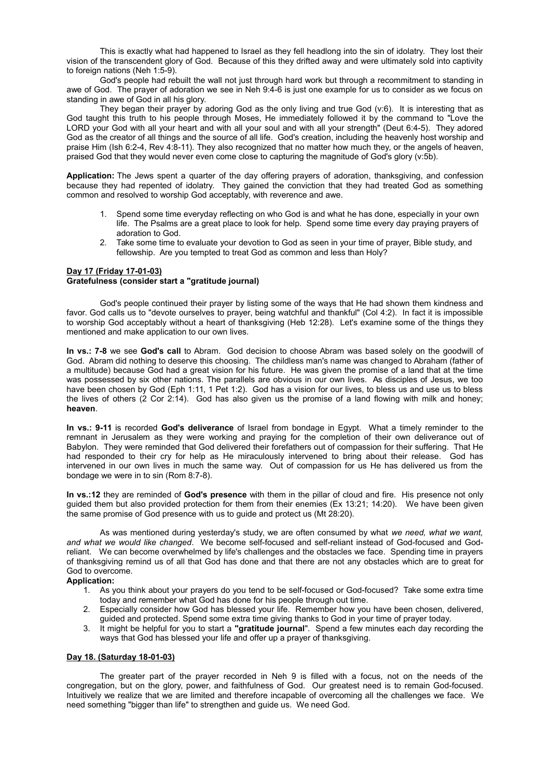This is exactly what had happened to Israel as they fell headlong into the sin of idolatry. They lost their vision of the transcendent glory of God. Because of this they drifted away and were ultimately sold into captivity to foreign nations (Neh 1:5-9).

God's people had rebuilt the wall not just through hard work but through a recommitment to standing in awe of God. The prayer of adoration we see in Neh 9:4-6 is just one example for us to consider as we focus on standing in awe of God in all his glory.

They began their prayer by adoring God as the only living and true God (v:6). It is interesting that as God taught this truth to his people through Moses, He immediately followed it by the command to "Love the LORD your God with all your heart and with all your soul and with all your strength" (Deut 6:4-5). They adored God as the creator of all things and the source of all life. God's creation, including the heavenly host worship and praise Him (Ish 6:2-4, Rev 4:8-11). They also recognized that no matter how much they, or the angels of heaven, praised God that they would never even come close to capturing the magnitude of God's glory (v:5b).

**Application:** The Jews spent a quarter of the day offering prayers of adoration, thanksgiving, and confession because they had repented of idolatry. They gained the conviction that they had treated God as something common and resolved to worship God acceptably, with reverence and awe.

- 1. Spend some time everyday reflecting on who God is and what he has done, especially in your own life. The Psalms are a great place to look for help. Spend some time every day praying prayers of adoration to God.
- 2. Take some time to evaluate your devotion to God as seen in your time of prayer, Bible study, and fellowship. Are you tempted to treat God as common and less than Holy?

## **Day 17 (Friday 17-01-03) Gratefulness (consider start a "gratitude journal)**

God's people continued their prayer by listing some of the ways that He had shown them kindness and favor. God calls us to "devote ourselves to prayer, being watchful and thankful" (Col 4:2). In fact it is impossible to worship God acceptably without a heart of thanksgiving (Heb 12:28). Let's examine some of the things they mentioned and make application to our own lives.

**In vs.: 7-8** we see **God's call** to Abram. God decision to choose Abram was based solely on the goodwill of God. Abram did nothing to deserve this choosing. The childless man's name was changed to Abraham (father of a multitude) because God had a great vision for his future. He was given the promise of a land that at the time was possessed by six other nations. The parallels are obvious in our own lives. As disciples of Jesus, we too have been chosen by God (Eph 1:11, 1 Pet 1:2). God has a vision for our lives, to bless us and use us to bless the lives of others (2 Cor 2:14). God has also given us the promise of a land flowing with milk and honey; **heaven**.

**In vs.: 9-11** is recorded **God's deliverance** of Israel from bondage in Egypt. What a timely reminder to the remnant in Jerusalem as they were working and praying for the completion of their own deliverance out of Babylon. They were reminded that God delivered their forefathers out of compassion for their suffering. That He had responded to their cry for help as He miraculously intervened to bring about their release. God has intervened in our own lives in much the same way. Out of compassion for us He has delivered us from the bondage we were in to sin (Rom 8:7-8).

**In vs.:12** they are reminded of **God's presence** with them in the pillar of cloud and fire. His presence not only guided them but also provided protection for them from their enemies (Ex 13:21; 14:20). We have been given the same promise of God presence with us to guide and protect us (Mt 28:20).

As was mentioned during yesterday's study, we are often consumed by what *we need, what we want, and what we would like changed*. We become self-focused and self-reliant instead of God-focused and Godreliant. We can become overwhelmed by life's challenges and the obstacles we face. Spending time in prayers of thanksgiving remind us of all that God has done and that there are not any obstacles which are to great for God to overcome.

## **Application:**

- 1. As you think about your prayers do you tend to be self-focused or God-focused? Take some extra time today and remember what God has done for his people through out time.
- 2. Especially consider how God has blessed your life. Remember how you have been chosen, delivered, guided and protected. Spend some extra time giving thanks to God in your time of prayer today.
- 3. It might be helpful for you to start a **"gratitude journal**". Spend a few minutes each day recording the ways that God has blessed your life and offer up a prayer of thanksgiving.

## **Day 18. (Saturday 18-01-03)**

The greater part of the prayer recorded in Neh 9 is filled with a focus, not on the needs of the congregation, but on the glory, power, and faithfulness of God. Our greatest need is to remain God-focused. Intuitively we realize that we are limited and therefore incapable of overcoming all the challenges we face. We need something "bigger than life" to strengthen and guide us. We need God.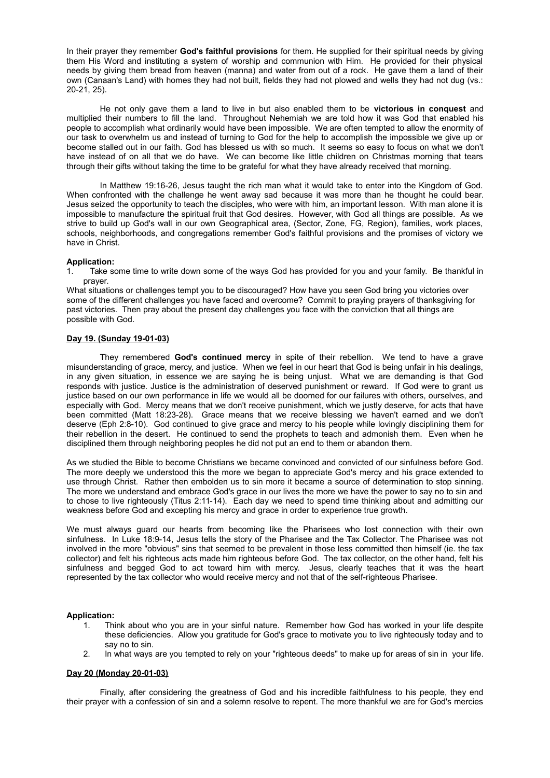In their prayer they remember **God's faithful provisions** for them. He supplied for their spiritual needs by giving them His Word and instituting a system of worship and communion with Him. He provided for their physical needs by giving them bread from heaven (manna) and water from out of a rock. He gave them a land of their own (Canaan's Land) with homes they had not built, fields they had not plowed and wells they had not dug (vs.: 20-21, 25).

He not only gave them a land to live in but also enabled them to be **victorious in conquest** and multiplied their numbers to fill the land. Throughout Nehemiah we are told how it was God that enabled his people to accomplish what ordinarily would have been impossible. We are often tempted to allow the enormity of our task to overwhelm us and instead of turning to God for the help to accomplish the impossible we give up or become stalled out in our faith. God has blessed us with so much. It seems so easy to focus on what we don't have instead of on all that we do have. We can become like little children on Christmas morning that tears through their gifts without taking the time to be grateful for what they have already received that morning.

In Matthew 19:16-26, Jesus taught the rich man what it would take to enter into the Kingdom of God. When confronted with the challenge he went away sad because it was more than he thought he could bear. Jesus seized the opportunity to teach the disciples, who were with him, an important lesson. With man alone it is impossible to manufacture the spiritual fruit that God desires. However, with God all things are possible. As we strive to build up God's wall in our own Geographical area, (Sector, Zone, FG, Region), families, work places, schools, neighborhoods, and congregations remember God's faithful provisions and the promises of victory we have in Christ.

## **Application:**

1. Take some time to write down some of the ways God has provided for you and your family. Be thankful in prayer.

What situations or challenges tempt you to be discouraged? How have you seen God bring you victories over some of the different challenges you have faced and overcome? Commit to praying prayers of thanksgiving for past victories. Then pray about the present day challenges you face with the conviction that all things are possible with God.

#### **Day 19. (Sunday 19-01-03)**

They remembered **God's continued mercy** in spite of their rebellion. We tend to have a grave misunderstanding of grace, mercy, and justice. When we feel in our heart that God is being unfair in his dealings, in any given situation, in essence we are saying he is being unjust. What we are demanding is that God responds with justice. Justice is the administration of deserved punishment or reward. If God were to grant us justice based on our own performance in life we would all be doomed for our failures with others, ourselves, and especially with God. Mercy means that we don't receive punishment, which we justly deserve, for acts that have been committed (Matt 18:23-28). Grace means that we receive blessing we haven't earned and we don't deserve (Eph 2:8-10). God continued to give grace and mercy to his people while lovingly disciplining them for their rebellion in the desert. He continued to send the prophets to teach and admonish them. Even when he disciplined them through neighboring peoples he did not put an end to them or abandon them.

As we studied the Bible to become Christians we became convinced and convicted of our sinfulness before God. The more deeply we understood this the more we began to appreciate God's mercy and his grace extended to use through Christ. Rather then embolden us to sin more it became a source of determination to stop sinning. The more we understand and embrace God's grace in our lives the more we have the power to say no to sin and to chose to live righteously (Titus 2:11-14). Each day we need to spend time thinking about and admitting our weakness before God and excepting his mercy and grace in order to experience true growth.

We must always guard our hearts from becoming like the Pharisees who lost connection with their own sinfulness. In Luke 18:9-14, Jesus tells the story of the Pharisee and the Tax Collector. The Pharisee was not involved in the more "obvious" sins that seemed to be prevalent in those less committed then himself (ie. the tax collector) and felt his righteous acts made him righteous before God. The tax collector, on the other hand, felt his sinfulness and begged God to act toward him with mercy. Jesus, clearly teaches that it was the heart represented by the tax collector who would receive mercy and not that of the self-righteous Pharisee.

## **Application:**

- 1. Think about who you are in your sinful nature. Remember how God has worked in your life despite these deficiencies. Allow you gratitude for God's grace to motivate you to live righteously today and to say no to sin.
- 2. In what ways are you tempted to rely on your "righteous deeds" to make up for areas of sin in your life.

## **Day 20 (Monday 20-01-03)**

Finally, after considering the greatness of God and his incredible faithfulness to his people, they end their prayer with a confession of sin and a solemn resolve to repent. The more thankful we are for God's mercies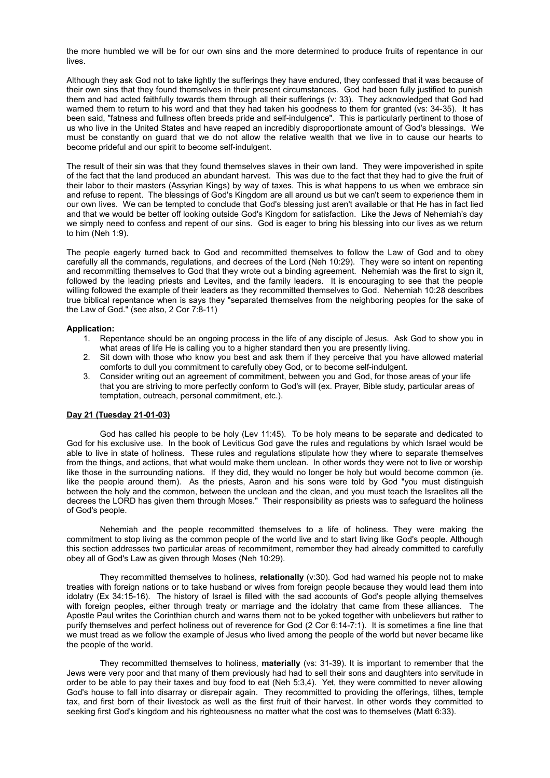the more humbled we will be for our own sins and the more determined to produce fruits of repentance in our lives.

Although they ask God not to take lightly the sufferings they have endured, they confessed that it was because of their own sins that they found themselves in their present circumstances. God had been fully justified to punish them and had acted faithfully towards them through all their sufferings (v: 33). They acknowledged that God had warned them to return to his word and that they had taken his goodness to them for granted (vs: 34-35). It has been said, "fatness and fullness often breeds pride and self-indulgence". This is particularly pertinent to those of us who live in the United States and have reaped an incredibly disproportionate amount of God's blessings. We must be constantly on guard that we do not allow the relative wealth that we live in to cause our hearts to become prideful and our spirit to become self-indulgent.

The result of their sin was that they found themselves slaves in their own land. They were impoverished in spite of the fact that the land produced an abundant harvest. This was due to the fact that they had to give the fruit of their labor to their masters (Assyrian Kings) by way of taxes. This is what happens to us when we embrace sin and refuse to repent. The blessings of God's Kingdom are all around us but we can't seem to experience them in our own lives. We can be tempted to conclude that God's blessing just aren't available or that He has in fact lied and that we would be better off looking outside God's Kingdom for satisfaction. Like the Jews of Nehemiah's day we simply need to confess and repent of our sins. God is eager to bring his blessing into our lives as we return to him (Neh 1:9).

The people eagerly turned back to God and recommitted themselves to follow the Law of God and to obey carefully all the commands, regulations, and decrees of the Lord (Neh 10:29). They were so intent on repenting and recommitting themselves to God that they wrote out a binding agreement. Nehemiah was the first to sign it, followed by the leading priests and Levites, and the family leaders. It is encouraging to see that the people willing followed the example of their leaders as they recommitted themselves to God. Nehemiah 10:28 describes true biblical repentance when is says they "separated themselves from the neighboring peoples for the sake of the Law of God." (see also, 2 Cor 7:8-11)

## **Application:**

- 1. Repentance should be an ongoing process in the life of any disciple of Jesus. Ask God to show you in what areas of life He is calling you to a higher standard then you are presently living.
- 2. Sit down with those who know you best and ask them if they perceive that you have allowed material comforts to dull you commitment to carefully obey God, or to become self-indulgent.
- 3. Consider writing out an agreement of commitment, between you and God, for those areas of your life that you are striving to more perfectly conform to God's will (ex. Prayer, Bible study, particular areas of temptation, outreach, personal commitment, etc.).

## **Day 21 (Tuesday 21-01-03)**

God has called his people to be holy (Lev 11:45). To be holy means to be separate and dedicated to God for his exclusive use. In the book of Leviticus God gave the rules and regulations by which Israel would be able to live in state of holiness. These rules and regulations stipulate how they where to separate themselves from the things, and actions, that what would make them unclean. In other words they were not to live or worship like those in the surrounding nations. If they did, they would no longer be holy but would become common (ie. like the people around them). As the priests, Aaron and his sons were told by God "you must distinguish between the holy and the common, between the unclean and the clean, and you must teach the Israelites all the decrees the LORD has given them through Moses." Their responsibility as priests was to safeguard the holiness of God's people.

Nehemiah and the people recommitted themselves to a life of holiness. They were making the commitment to stop living as the common people of the world live and to start living like God's people. Although this section addresses two particular areas of recommitment, remember they had already committed to carefully obey all of God's Law as given through Moses (Neh 10:29).

They recommitted themselves to holiness, **relationally** (v:30). God had warned his people not to make treaties with foreign nations or to take husband or wives from foreign people because they would lead them into idolatry (Ex 34:15-16). The history of Israel is filled with the sad accounts of God's people allying themselves with foreign peoples, either through treaty or marriage and the idolatry that came from these alliances. The Apostle Paul writes the Corinthian church and warns them not to be yoked together with unbelievers but rather to purify themselves and perfect holiness out of reverence for God (2 Cor 6:14-7:1). It is sometimes a fine line that we must tread as we follow the example of Jesus who lived among the people of the world but never became like the people of the world.

They recommitted themselves to holiness, **materially** (vs: 31-39). It is important to remember that the Jews were very poor and that many of them previously had had to sell their sons and daughters into servitude in order to be able to pay their taxes and buy food to eat (Neh 5:3,4). Yet, they were committed to never allowing God's house to fall into disarray or disrepair again. They recommitted to providing the offerings, tithes, temple tax, and first born of their livestock as well as the first fruit of their harvest. In other words they committed to seeking first God's kingdom and his righteousness no matter what the cost was to themselves (Matt 6:33).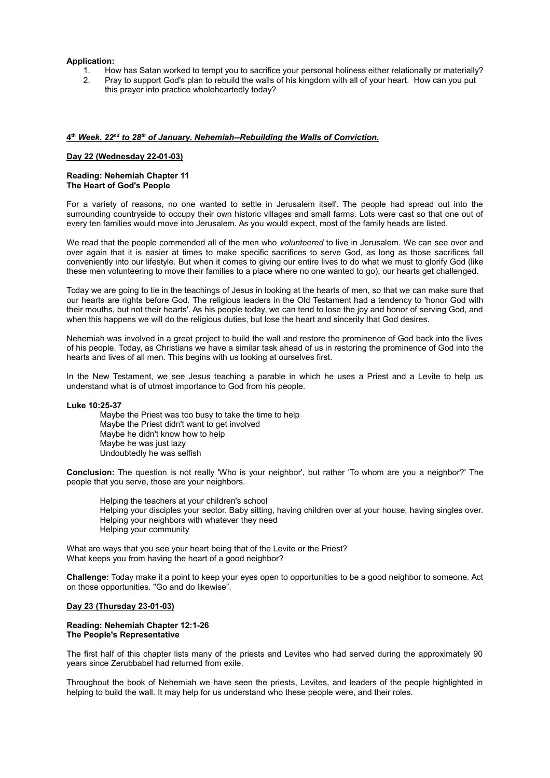#### **Application:**

- 1. How has Satan worked to tempt you to sacrifice your personal holiness either relationally or materially?
- 2. Pray to support God's plan to rebuild the walls of his kingdom with all of your heart. How can you put this prayer into practice wholeheartedly today?

#### **4 th** *Week. 22nd to 28th of January. Nehemiah--Rebuilding the Walls of Conviction.*

#### **Day 22 (Wednesday 22-01-03)**

## **Reading: Nehemiah Chapter 11 The Heart of God's People**

For a variety of reasons, no one wanted to settle in Jerusalem itself. The people had spread out into the surrounding countryside to occupy their own historic villages and small farms. Lots were cast so that one out of every ten families would move into Jerusalem. As you would expect, most of the family heads are listed.

We read that the people commended all of the men who *volunteered* to live in Jerusalem. We can see over and over again that it is easier at times to make specific sacrifices to serve God, as long as those sacrifices fall conveniently into our lifestyle. But when it comes to giving our entire lives to do what we must to glorify God (like these men volunteering to move their families to a place where no one wanted to go), our hearts get challenged.

Today we are going to tie in the teachings of Jesus in looking at the hearts of men, so that we can make sure that our hearts are rights before God. The religious leaders in the Old Testament had a tendency to 'honor God with their mouths, but not their hearts'. As his people today, we can tend to lose the joy and honor of serving God, and when this happens we will do the religious duties, but lose the heart and sincerity that God desires.

Nehemiah was involved in a great project to build the wall and restore the prominence of God back into the lives of his people. Today, as Christians we have a similar task ahead of us in restoring the prominence of God into the hearts and lives of all men. This begins with us looking at ourselves first.

In the New Testament, we see Jesus teaching a parable in which he uses a Priest and a Levite to help us understand what is of utmost importance to God from his people.

#### **Luke 10:25-37**

Maybe the Priest was too busy to take the time to help Maybe the Priest didn't want to get involved Maybe he didn't know how to help Maybe he was just lazy Undoubtedly he was selfish

**Conclusion:** The question is not really 'Who is your neighbor', but rather 'To whom are you a neighbor?' The people that you serve, those are your neighbors.

Helping the teachers at your children's school Helping your disciples your sector. Baby sitting, having children over at your house, having singles over. Helping your neighbors with whatever they need Helping your community

What are ways that you see your heart being that of the Levite or the Priest? What keeps you from having the heart of a good neighbor?

**Challenge:** Today make it a point to keep your eyes open to opportunities to be a good neighbor to someone. Act on those opportunities. "Go and do likewise".

## **Day 23 (Thursday 23-01-03)**

#### **Reading: Nehemiah Chapter 12:1-26 The People's Representative**

The first half of this chapter lists many of the priests and Levites who had served during the approximately 90 years since Zerubbabel had returned from exile.

Throughout the book of Nehemiah we have seen the priests, Levites, and leaders of the people highlighted in helping to build the wall. It may help for us understand who these people were, and their roles.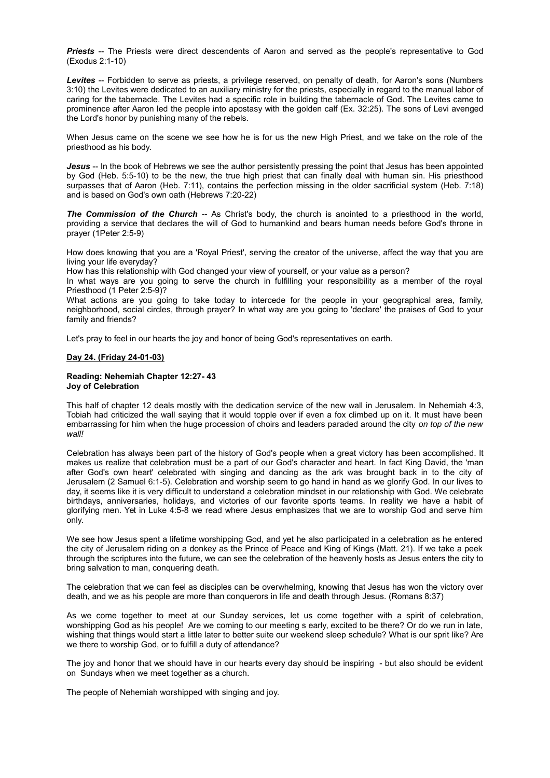**Priests** -- The Priests were direct descendents of Aaron and served as the people's representative to God (Exodus 2:1-10)

*Levites* -- Forbidden to serve as priests, a privilege reserved, on penalty of death, for Aaron's sons (Numbers 3:10) the Levites were dedicated to an auxiliary ministry for the priests, especially in regard to the manual labor of caring for the tabernacle. The Levites had a specific role in building the tabernacle of God. The Levites came to prominence after Aaron led the people into apostasy with the golden calf (Ex. 32:25). The sons of Levi avenged the Lord's honor by punishing many of the rebels.

When Jesus came on the scene we see how he is for us the new High Priest, and we take on the role of the priesthood as his body.

*Jesus* -- In the book of Hebrews we see the author persistently pressing the point that Jesus has been appointed by God (Heb. 5:5-10) to be the new, the true high priest that can finally deal with human sin. His priesthood surpasses that of Aaron (Heb. 7:11), contains the perfection missing in the older sacrificial system (Heb. 7:18) and is based on God's own oath (Hebrews 7:20-22)

**The Commission of the Church** -- As Christ's body, the church is anointed to a priesthood in the world, providing a service that declares the will of God to humankind and bears human needs before God's throne in prayer (1Peter 2:5-9)

How does knowing that you are a 'Royal Priest', serving the creator of the universe, affect the way that you are living your life everyday?

How has this relationship with God changed your view of yourself, or your value as a person?

In what ways are you going to serve the church in fulfilling your responsibility as a member of the royal Priesthood (1 Peter 2:5-9)?

What actions are you going to take today to intercede for the people in your geographical area, family, neighborhood, social circles, through prayer? In what way are you going to 'declare' the praises of God to your family and friends?

Let's pray to feel in our hearts the joy and honor of being God's representatives on earth.

#### **Day 24. (Friday 24-01-03)**

#### **Reading: Nehemiah Chapter 12:27- 43 Joy of Celebration**

This half of chapter 12 deals mostly with the dedication service of the new wall in Jerusalem. In Nehemiah 4:3, Tobiah had criticized the wall saying that it would topple over if even a fox climbed up on it. It must have been embarrassing for him when the huge procession of choirs and leaders paraded around the city *on top of the new wall!*

Celebration has always been part of the history of God's people when a great victory has been accomplished. It makes us realize that celebration must be a part of our God's character and heart. In fact King David, the 'man after God's own heart' celebrated with singing and dancing as the ark was brought back in to the city of Jerusalem (2 Samuel 6:1-5). Celebration and worship seem to go hand in hand as we glorify God. In our lives to day, it seems like it is very difficult to understand a celebration mindset in our relationship with God. We celebrate birthdays, anniversaries, holidays, and victories of our favorite sports teams. In reality we have a habit of glorifying men. Yet in Luke 4:5-8 we read where Jesus emphasizes that we are to worship God and serve him only.

We see how Jesus spent a lifetime worshipping God, and yet he also participated in a celebration as he entered the city of Jerusalem riding on a donkey as the Prince of Peace and King of Kings (Matt. 21). If we take a peek through the scriptures into the future, we can see the celebration of the heavenly hosts as Jesus enters the city to bring salvation to man, conquering death.

The celebration that we can feel as disciples can be overwhelming, knowing that Jesus has won the victory over death, and we as his people are more than conquerors in life and death through Jesus. (Romans 8:37)

As we come together to meet at our Sunday services, let us come together with a spirit of celebration, worshipping God as his people! Are we coming to our meeting s early, excited to be there? Or do we run in late, wishing that things would start a little later to better suite our weekend sleep schedule? What is our sprit like? Are we there to worship God, or to fulfill a duty of attendance?

The joy and honor that we should have in our hearts every day should be inspiring - but also should be evident on Sundays when we meet together as a church.

The people of Nehemiah worshipped with singing and joy.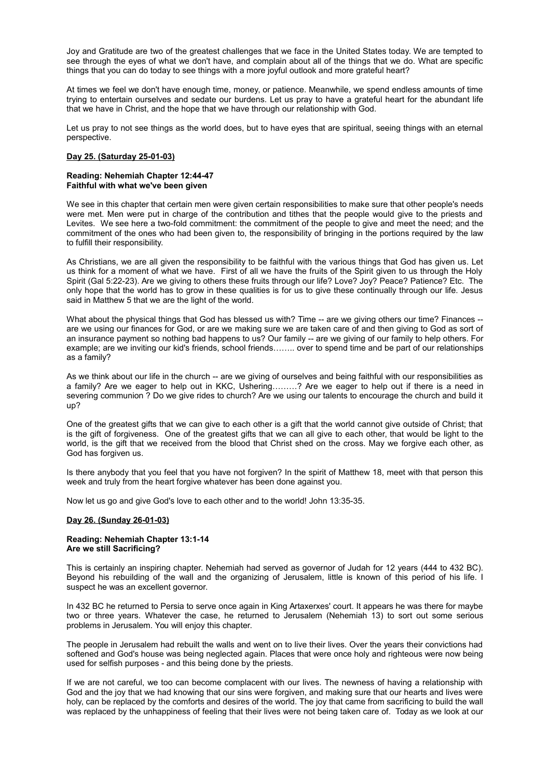Joy and Gratitude are two of the greatest challenges that we face in the United States today. We are tempted to see through the eyes of what we don't have, and complain about all of the things that we do. What are specific things that you can do today to see things with a more joyful outlook and more grateful heart?

At times we feel we don't have enough time, money, or patience. Meanwhile, we spend endless amounts of time trying to entertain ourselves and sedate our burdens. Let us pray to have a grateful heart for the abundant life that we have in Christ, and the hope that we have through our relationship with God.

Let us pray to not see things as the world does, but to have eyes that are spiritual, seeing things with an eternal perspective.

## **Day 25. (Saturday 25-01-03)**

#### **Reading: Nehemiah Chapter 12:44-47 Faithful with what we've been given**

We see in this chapter that certain men were given certain responsibilities to make sure that other people's needs were met. Men were put in charge of the contribution and tithes that the people would give to the priests and Levites. We see here a two-fold commitment: the commitment of the people to give and meet the need; and the commitment of the ones who had been given to, the responsibility of bringing in the portions required by the law to fulfill their responsibility.

As Christians, we are all given the responsibility to be faithful with the various things that God has given us. Let us think for a moment of what we have. First of all we have the fruits of the Spirit given to us through the Holy Spirit (Gal 5:22-23). Are we giving to others these fruits through our life? Love? Joy? Peace? Patience? Etc. The only hope that the world has to grow in these qualities is for us to give these continually through our life. Jesus said in Matthew 5 that we are the light of the world.

What about the physical things that God has blessed us with? Time -- are we giving others our time? Finances -are we using our finances for God, or are we making sure we are taken care of and then giving to God as sort of an insurance payment so nothing bad happens to us? Our family -- are we giving of our family to help others. For example; are we inviting our kid's friends, school friends…….. over to spend time and be part of our relationships as a family?

As we think about our life in the church -- are we giving of ourselves and being faithful with our responsibilities as a family? Are we eager to help out in KKC, Ushering………? Are we eager to help out if there is a need in severing communion ? Do we give rides to church? Are we using our talents to encourage the church and build it up?

One of the greatest gifts that we can give to each other is a gift that the world cannot give outside of Christ; that is the gift of forgiveness. One of the greatest gifts that we can all give to each other, that would be light to the world, is the gift that we received from the blood that Christ shed on the cross. May we forgive each other, as God has forgiven us.

Is there anybody that you feel that you have not forgiven? In the spirit of Matthew 18, meet with that person this week and truly from the heart forgive whatever has been done against you.

Now let us go and give God's love to each other and to the world! John 13:35-35.

## **Day 26. (Sunday 26-01-03)**

#### **Reading: Nehemiah Chapter 13:1-14 Are we still Sacrificing?**

This is certainly an inspiring chapter. Nehemiah had served as governor of Judah for 12 years (444 to 432 BC). Beyond his rebuilding of the wall and the organizing of Jerusalem, little is known of this period of his life. I suspect he was an excellent governor.

In 432 BC he returned to Persia to serve once again in King Artaxerxes' court. It appears he was there for maybe two or three years. Whatever the case, he returned to Jerusalem (Nehemiah 13) to sort out some serious problems in Jerusalem. You will enjoy this chapter.

The people in Jerusalem had rebuilt the walls and went on to live their lives. Over the years their convictions had softened and God's house was being neglected again. Places that were once holy and righteous were now being used for selfish purposes - and this being done by the priests.

If we are not careful, we too can become complacent with our lives. The newness of having a relationship with God and the joy that we had knowing that our sins were forgiven, and making sure that our hearts and lives were holy, can be replaced by the comforts and desires of the world. The joy that came from sacrificing to build the wall was replaced by the unhappiness of feeling that their lives were not being taken care of. Today as we look at our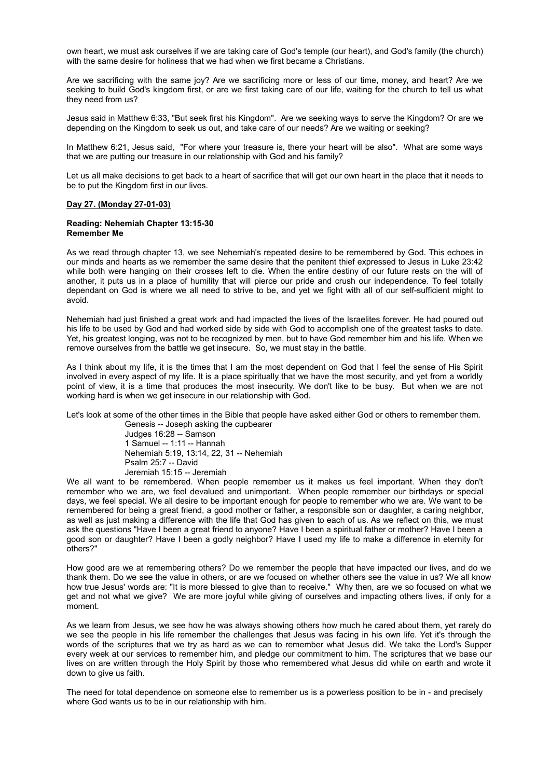own heart, we must ask ourselves if we are taking care of God's temple (our heart), and God's family (the church) with the same desire for holiness that we had when we first became a Christians.

Are we sacrificing with the same joy? Are we sacrificing more or less of our time, money, and heart? Are we seeking to build God's kingdom first, or are we first taking care of our life, waiting for the church to tell us what they need from us?

Jesus said in Matthew 6:33, "But seek first his Kingdom". Are we seeking ways to serve the Kingdom? Or are we depending on the Kingdom to seek us out, and take care of our needs? Are we waiting or seeking?

In Matthew 6:21, Jesus said, "For where your treasure is, there your heart will be also". What are some ways that we are putting our treasure in our relationship with God and his family?

Let us all make decisions to get back to a heart of sacrifice that will get our own heart in the place that it needs to be to put the Kingdom first in our lives.

#### **Day 27. (Monday 27-01-03)**

#### **Reading: Nehemiah Chapter 13:15-30 Remember Me**

As we read through chapter 13, we see Nehemiah's repeated desire to be remembered by God. This echoes in our minds and hearts as we remember the same desire that the penitent thief expressed to Jesus in Luke 23:42 while both were hanging on their crosses left to die. When the entire destiny of our future rests on the will of another, it puts us in a place of humility that will pierce our pride and crush our independence. To feel totally dependant on God is where we all need to strive to be, and yet we fight with all of our self-sufficient might to avoid.

Nehemiah had just finished a great work and had impacted the lives of the Israelites forever. He had poured out his life to be used by God and had worked side by side with God to accomplish one of the greatest tasks to date. Yet, his greatest longing, was not to be recognized by men, but to have God remember him and his life. When we remove ourselves from the battle we get insecure. So, we must stay in the battle.

As I think about my life, it is the times that I am the most dependent on God that I feel the sense of His Spirit involved in every aspect of my life. It is a place spiritually that we have the most security, and yet from a worldly point of view, it is a time that produces the most insecurity. We don't like to be busy. But when we are not working hard is when we get insecure in our relationship with God.

Let's look at some of the other times in the Bible that people have asked either God or others to remember them.

Genesis -- Joseph asking the cupbearer Judges 16:28 -- Samson 1 Samuel -- 1:11 -- Hannah Nehemiah 5:19, 13:14, 22, 31 -- Nehemiah Psalm 25:7 -- David Jeremiah 15:15 -- Jeremiah

We all want to be remembered. When people remember us it makes us feel important. When they don't remember who we are, we feel devalued and unimportant. When people remember our birthdays or special days, we feel special. We all desire to be important enough for people to remember who we are. We want to be remembered for being a great friend, a good mother or father, a responsible son or daughter, a caring neighbor, as well as just making a difference with the life that God has given to each of us. As we reflect on this, we must ask the questions "Have I been a great friend to anyone? Have I been a spiritual father or mother? Have I been a good son or daughter? Have I been a godly neighbor? Have I used my life to make a difference in eternity for others?"

How good are we at remembering others? Do we remember the people that have impacted our lives, and do we thank them. Do we see the value in others, or are we focused on whether others see the value in us? We all know how true Jesus' words are: "It is more blessed to give than to receive." Why then, are we so focused on what we get and not what we give? We are more joyful while giving of ourselves and impacting others lives, if only for a moment.

As we learn from Jesus, we see how he was always showing others how much he cared about them, yet rarely do we see the people in his life remember the challenges that Jesus was facing in his own life. Yet it's through the words of the scriptures that we try as hard as we can to remember what Jesus did. We take the Lord's Supper every week at our services to remember him, and pledge our commitment to him. The scriptures that we base our lives on are written through the Holy Spirit by those who remembered what Jesus did while on earth and wrote it down to give us faith.

The need for total dependence on someone else to remember us is a powerless position to be in - and precisely where God wants us to be in our relationship with him.